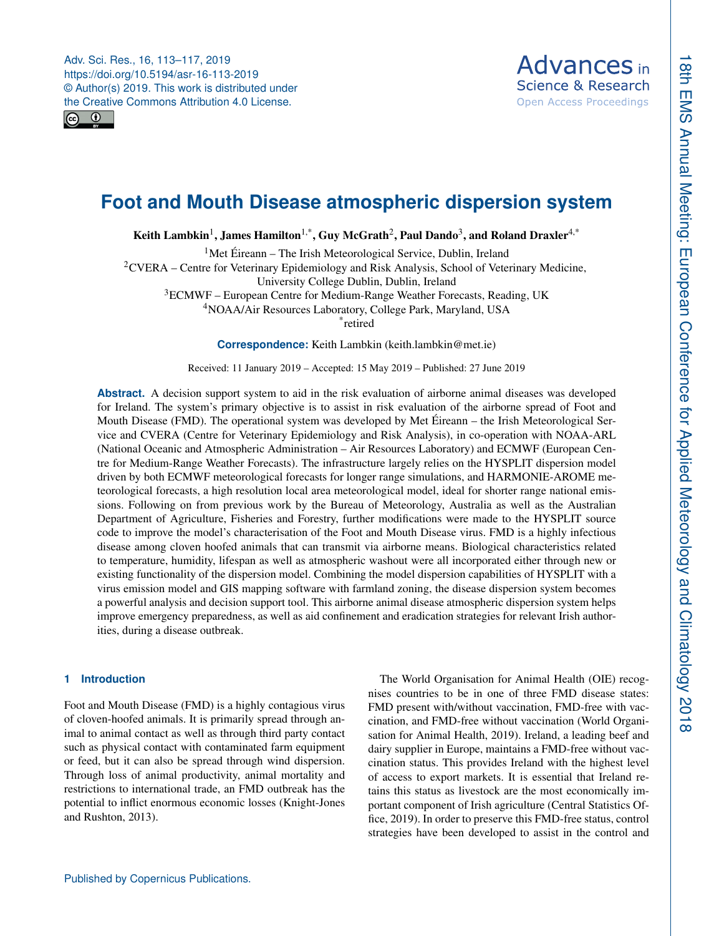<span id="page-0-1"></span>Adv. Sci. Res., 16, 113–117, 2019 https://doi.org/10.5194/asr-16-113-2019 © Author(s) 2019. This work is distributed under the Creative Commons Attribution 4.0 License.





# **Foot and Mouth Disease atmospheric dispersion system**

Keith Lambkin $^1$  $^1$ , James Hamilton $^{1,\ast}$ , Guy McGrath $^2$  $^2$ , Paul Dando $^3$  $^3$ , and Roland Draxler $^{4,\ast}$ 

<sup>1</sup>Met Éireann – The Irish Meteorological Service, Dublin, Ireland

<sup>2</sup>CVERA – Centre for Veterinary Epidemiology and Risk Analysis, School of Veterinary Medicine,

University College Dublin, Dublin, Ireland

<sup>3</sup>ECMWF – European Centre for Medium-Range Weather Forecasts, Reading, UK

<sup>4</sup>NOAA/Air Resources Laboratory, College Park, Maryland, USA

\* retired

**Correspondence:** Keith Lambkin (keith.lambkin@met.ie)

Received: 11 January 2019 – Accepted: 15 May 2019 – Published: 27 June 2019

**Abstract.** A decision support system to aid in the risk evaluation of airborne animal diseases was developed for Ireland. The system's primary objective is to assist in risk evaluation of the airborne spread of Foot and Mouth Disease (FMD). The operational system was developed by Met Éireann – the Irish Meteorological Service and CVERA (Centre for Veterinary Epidemiology and Risk Analysis), in co-operation with NOAA-ARL (National Oceanic and Atmospheric Administration – Air Resources Laboratory) and ECMWF (European Centre for Medium-Range Weather Forecasts). The infrastructure largely relies on the HYSPLIT dispersion model driven by both ECMWF meteorological forecasts for longer range simulations, and HARMONIE-AROME meteorological forecasts, a high resolution local area meteorological model, ideal for shorter range national emissions. Following on from previous work by the Bureau of Meteorology, Australia as well as the Australian Department of Agriculture, Fisheries and Forestry, further modifications were made to the HYSPLIT source code to improve the model's characterisation of the Foot and Mouth Disease virus. FMD is a highly infectious disease among cloven hoofed animals that can transmit via airborne means. Biological characteristics related to temperature, humidity, lifespan as well as atmospheric washout were all incorporated either through new or existing functionality of the dispersion model. Combining the model dispersion capabilities of HYSPLIT with a virus emission model and GIS mapping software with farmland zoning, the disease dispersion system becomes a powerful analysis and decision support tool. This airborne animal disease atmospheric dispersion system helps improve emergency preparedness, as well as aid confinement and eradication strategies for relevant Irish authorities, during a disease outbreak.

## <span id="page-0-0"></span>**1 Introduction**

Foot and Mouth Disease (FMD) is a highly contagious virus of cloven-hoofed animals. It is primarily spread through animal to animal contact as well as through third party contact such as physical contact with contaminated farm equipment or feed, but it can also be spread through wind dispersion. Through loss of animal productivity, animal mortality and restrictions to international trade, an FMD outbreak has the potential to inflict enormous economic losses (Knight-Jones and Rushton, 2013).

The World Organisation for Animal Health (OIE) recognises countries to be in one of three FMD disease states: FMD present with/without vaccination, FMD-free with vaccination, and FMD-free without vaccination (World Organisation for Animal Health, 2019). Ireland, a leading beef and dairy supplier in Europe, maintains a FMD-free without vaccination status. This provides Ireland with the highest level of access to export markets. It is essential that Ireland retains this status as livestock are the most economically important component of Irish agriculture (Central Statistics Office, 2019). In order to preserve this FMD-free status, control strategies have been developed to assist in the control and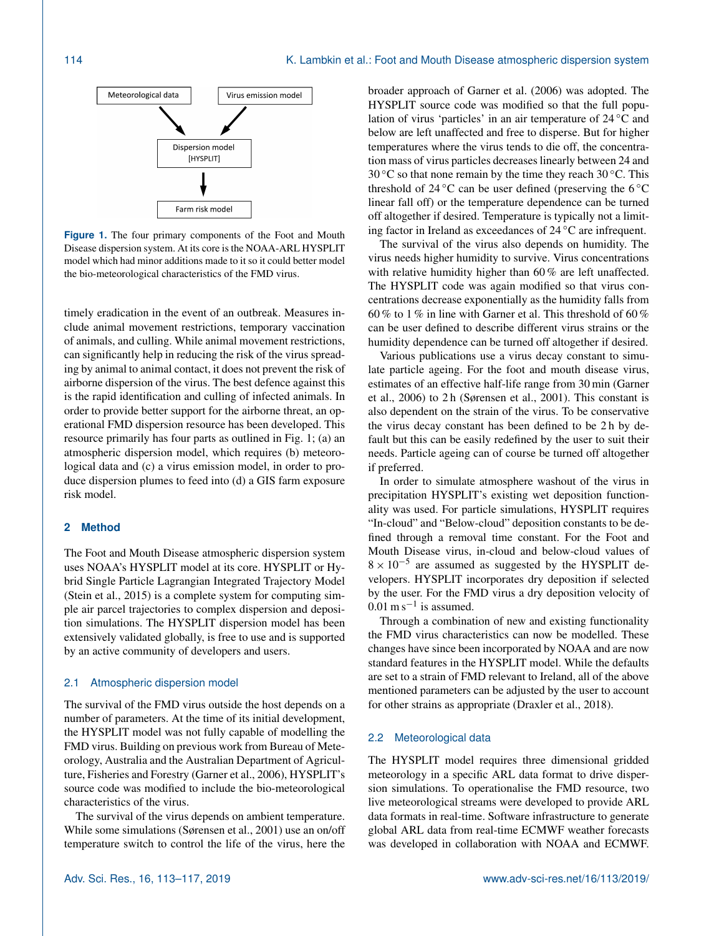

**Figure 1.** The four primary components of the Foot and Mouth Disease dispersion system. At its core is the NOAA-ARL HYSPLIT model which had minor additions made to it so it could better model the bio-meteorological characteristics of the FMD virus.

timely eradication in the event of an outbreak. Measures include animal movement restrictions, temporary vaccination of animals, and culling. While animal movement restrictions, can significantly help in reducing the risk of the virus spreading by animal to animal contact, it does not prevent the risk of airborne dispersion of the virus. The best defence against this is the rapid identification and culling of infected animals. In order to provide better support for the airborne threat, an operational FMD dispersion resource has been developed. This resource primarily has four parts as outlined in Fig. 1; (a) an atmospheric dispersion model, which requires (b) meteorological data and (c) a virus emission model, in order to produce dispersion plumes to feed into (d) a GIS farm exposure risk model.

#### **2 Method**

The Foot and Mouth Disease atmospheric dispersion system uses NOAA's HYSPLIT model at its core. HYSPLIT or Hybrid Single Particle Lagrangian Integrated Trajectory Model (Stein et al., 2015) is a complete system for computing simple air parcel trajectories to complex dispersion and deposition simulations. The HYSPLIT dispersion model has been extensively validated globally, is free to use and is supported by an active community of developers and users.

## 2.1 Atmospheric dispersion model

The survival of the FMD virus outside the host depends on a number of parameters. At the time of its initial development, the HYSPLIT model was not fully capable of modelling the FMD virus. Building on previous work from Bureau of Meteorology, Australia and the Australian Department of Agriculture, Fisheries and Forestry (Garner et al., 2006), HYSPLIT's source code was modified to include the bio-meteorological characteristics of the virus.

The survival of the virus depends on ambient temperature. While some simulations (Sørensen et al., 2001) use an on/off temperature switch to control the life of the virus, here the broader approach of Garner et al. (2006) was adopted. The HYSPLIT source code was modified so that the full population of virus 'particles' in an air temperature of 24 ◦C and below are left unaffected and free to disperse. But for higher temperatures where the virus tends to die off, the concentration mass of virus particles decreases linearly between 24 and 30 °C so that none remain by the time they reach 30 °C. This threshold of 24  $\rm{^{\circ}C}$  can be user defined (preserving the 6  $\rm{^{\circ}C}$ linear fall off) or the temperature dependence can be turned off altogether if desired. Temperature is typically not a limiting factor in Ireland as exceedances of 24 ◦C are infrequent.

The survival of the virus also depends on humidity. The virus needs higher humidity to survive. Virus concentrations with relative humidity higher than 60% are left unaffected. The HYSPLIT code was again modified so that virus concentrations decrease exponentially as the humidity falls from 60 % to 1 % in line with Garner et al. This threshold of 60 % can be user defined to describe different virus strains or the humidity dependence can be turned off altogether if desired.

Various publications use a virus decay constant to simulate particle ageing. For the foot and mouth disease virus, estimates of an effective half-life range from 30 min (Garner et al., 2006) to 2 h (Sørensen et al., 2001). This constant is also dependent on the strain of the virus. To be conservative the virus decay constant has been defined to be 2 h by default but this can be easily redefined by the user to suit their needs. Particle ageing can of course be turned off altogether if preferred.

In order to simulate atmosphere washout of the virus in precipitation HYSPLIT's existing wet deposition functionality was used. For particle simulations, HYSPLIT requires "In-cloud" and "Below-cloud" deposition constants to be defined through a removal time constant. For the Foot and Mouth Disease virus, in-cloud and below-cloud values of  $8 \times 10^{-5}$  are assumed as suggested by the HYSPLIT developers. HYSPLIT incorporates dry deposition if selected by the user. For the FMD virus a dry deposition velocity of  $0.01 \text{ m s}^{-1}$  is assumed.

Through a combination of new and existing functionality the FMD virus characteristics can now be modelled. These changes have since been incorporated by NOAA and are now standard features in the HYSPLIT model. While the defaults are set to a strain of FMD relevant to Ireland, all of the above mentioned parameters can be adjusted by the user to account for other strains as appropriate (Draxler et al., 2018).

## 2.2 Meteorological data

The HYSPLIT model requires three dimensional gridded meteorology in a specific ARL data format to drive dispersion simulations. To operationalise the FMD resource, two live meteorological streams were developed to provide ARL data formats in real-time. Software infrastructure to generate global ARL data from real-time ECMWF weather forecasts was developed in collaboration with NOAA and ECMWF.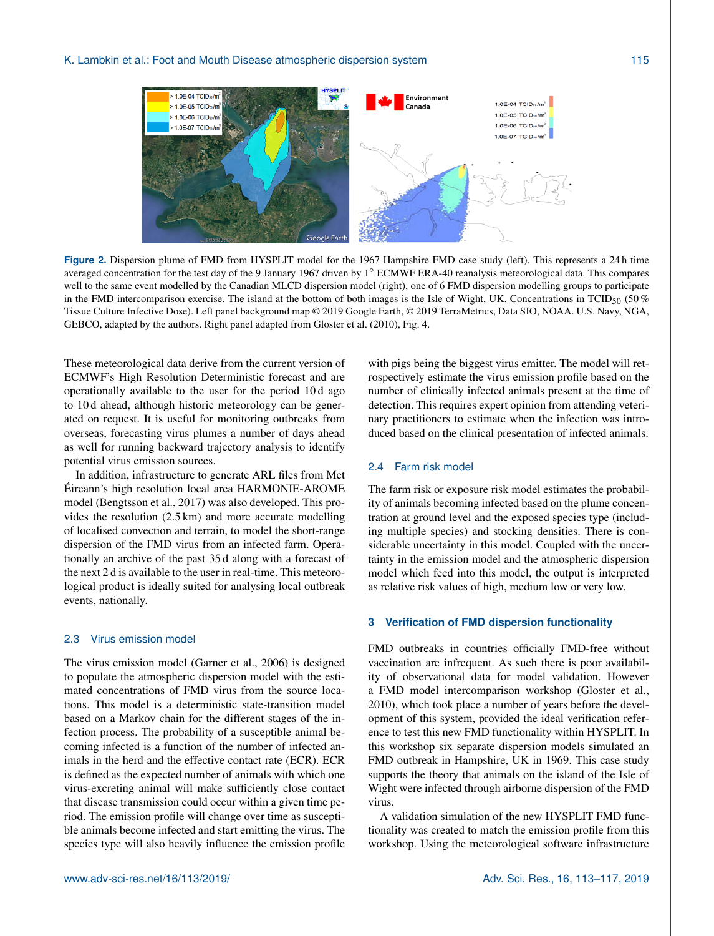

**Figure 2.** Dispersion plume of FMD from HYSPLIT model for the 1967 Hampshire FMD case study (left). This represents a 24 h time averaged concentration for the test day of the 9 January 1967 driven by 1◦ ECMWF ERA-40 reanalysis meteorological data. This compares well to the same event modelled by the Canadian MLCD dispersion model (right), one of 6 FMD dispersion modelling groups to participate in the FMD intercomparison exercise. The island at the bottom of both images is the Isle of Wight, UK. Concentrations in TCID<sub>50</sub> (50 %) Tissue Culture Infective Dose). Left panel background map © 2019 Google Earth, © 2019 TerraMetrics, Data SIO, NOAA. U.S. Navy, NGA, GEBCO, adapted by the authors. Right panel adapted from Gloster et al. (2010), Fig. 4.

These meteorological data derive from the current version of ECMWF's High Resolution Deterministic forecast and are operationally available to the user for the period 10 d ago to 10 d ahead, although historic meteorology can be generated on request. It is useful for monitoring outbreaks from overseas, forecasting virus plumes a number of days ahead as well for running backward trajectory analysis to identify potential virus emission sources.

In addition, infrastructure to generate ARL files from Met Éireann's high resolution local area HARMONIE-AROME model (Bengtsson et al., 2017) was also developed. This provides the resolution (2.5 km) and more accurate modelling of localised convection and terrain, to model the short-range dispersion of the FMD virus from an infected farm. Operationally an archive of the past 35 d along with a forecast of the next 2 d is available to the user in real-time. This meteorological product is ideally suited for analysing local outbreak events, nationally.

# 2.3 Virus emission model

The virus emission model (Garner et al., 2006) is designed to populate the atmospheric dispersion model with the estimated concentrations of FMD virus from the source locations. This model is a deterministic state-transition model based on a Markov chain for the different stages of the infection process. The probability of a susceptible animal becoming infected is a function of the number of infected animals in the herd and the effective contact rate (ECR). ECR is defined as the expected number of animals with which one virus-excreting animal will make sufficiently close contact that disease transmission could occur within a given time period. The emission profile will change over time as susceptible animals become infected and start emitting the virus. The species type will also heavily influence the emission profile

with pigs being the biggest virus emitter. The model will retrospectively estimate the virus emission profile based on the number of clinically infected animals present at the time of detection. This requires expert opinion from attending veterinary practitioners to estimate when the infection was introduced based on the clinical presentation of infected animals.

## 2.4 Farm risk model

The farm risk or exposure risk model estimates the probability of animals becoming infected based on the plume concentration at ground level and the exposed species type (including multiple species) and stocking densities. There is considerable uncertainty in this model. Coupled with the uncertainty in the emission model and the atmospheric dispersion model which feed into this model, the output is interpreted as relative risk values of high, medium low or very low.

## **3 Verification of FMD dispersion functionality**

FMD outbreaks in countries officially FMD-free without vaccination are infrequent. As such there is poor availability of observational data for model validation. However a FMD model intercomparison workshop (Gloster et al., 2010), which took place a number of years before the development of this system, provided the ideal verification reference to test this new FMD functionality within HYSPLIT. In this workshop six separate dispersion models simulated an FMD outbreak in Hampshire, UK in 1969. This case study supports the theory that animals on the island of the Isle of Wight were infected through airborne dispersion of the FMD virus.

A validation simulation of the new HYSPLIT FMD functionality was created to match the emission profile from this workshop. Using the meteorological software infrastructure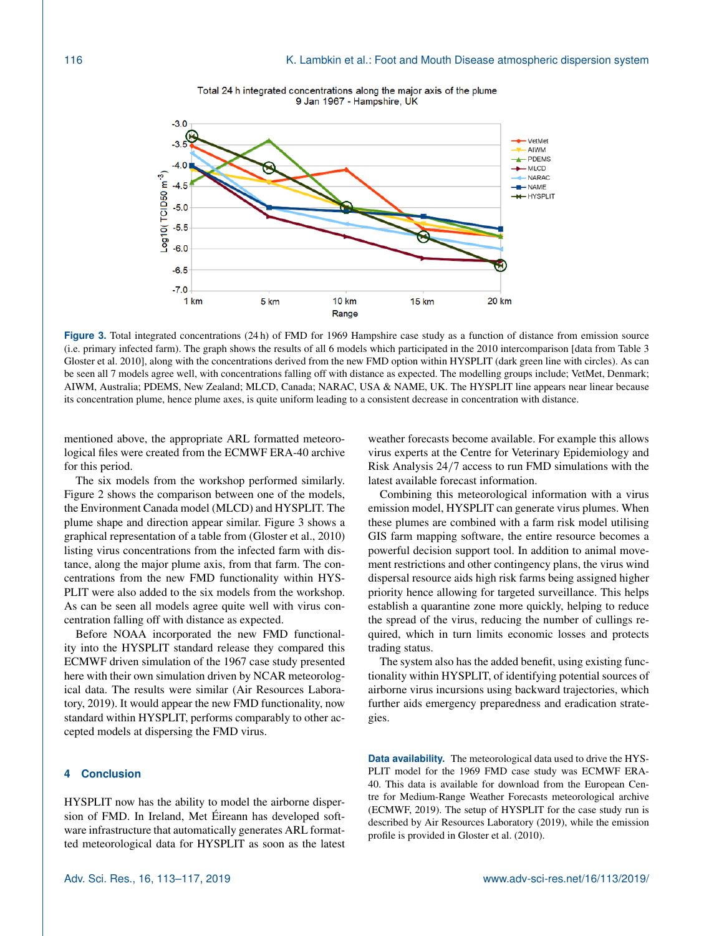

Total 24 h integrated concentrations along the major axis of the plume 9 Jan 1967 - Hampshire, UK

**Figure 3.** Total integrated concentrations (24 h) of FMD for 1969 Hampshire case study as a function of distance from emission source (i.e. primary infected farm). The graph shows the results of all 6 models which participated in the 2010 intercomparison [data from Table 3 Gloster et al. 2010], along with the concentrations derived from the new FMD option within HYSPLIT (dark green line with circles). As can be seen all 7 models agree well, with concentrations falling off with distance as expected. The modelling groups include; VetMet, Denmark; AIWM, Australia; PDEMS, New Zealand; MLCD, Canada; NARAC, USA & NAME, UK. The HYSPLIT line appears near linear because its concentration plume, hence plume axes, is quite uniform leading to a consistent decrease in concentration with distance.

mentioned above, the appropriate ARL formatted meteorological files were created from the ECMWF ERA-40 archive for this period.

The six models from the workshop performed similarly. Figure 2 shows the comparison between one of the models, the Environment Canada model (MLCD) and HYSPLIT. The plume shape and direction appear similar. Figure 3 shows a graphical representation of a table from (Gloster et al., 2010) listing virus concentrations from the infected farm with distance, along the major plume axis, from that farm. The concentrations from the new FMD functionality within HYS-PLIT were also added to the six models from the workshop. As can be seen all models agree quite well with virus concentration falling off with distance as expected.

Before NOAA incorporated the new FMD functionality into the HYSPLIT standard release they compared this ECMWF driven simulation of the 1967 case study presented here with their own simulation driven by NCAR meteorological data. The results were similar (Air Resources Laboratory, 2019). It would appear the new FMD functionality, now standard within HYSPLIT, performs comparably to other accepted models at dispersing the FMD virus.

# **4 Conclusion**

HYSPLIT now has the ability to model the airborne dispersion of FMD. In Ireland, Met Éireann has developed software infrastructure that automatically generates ARL formatted meteorological data for HYSPLIT as soon as the latest weather forecasts become available. For example this allows virus experts at the Centre for Veterinary Epidemiology and Risk Analysis 24/7 access to run FMD simulations with the latest available forecast information.

Combining this meteorological information with a virus emission model, HYSPLIT can generate virus plumes. When these plumes are combined with a farm risk model utilising GIS farm mapping software, the entire resource becomes a powerful decision support tool. In addition to animal movement restrictions and other contingency plans, the virus wind dispersal resource aids high risk farms being assigned higher priority hence allowing for targeted surveillance. This helps establish a quarantine zone more quickly, helping to reduce the spread of the virus, reducing the number of cullings required, which in turn limits economic losses and protects trading status.

The system also has the added benefit, using existing functionality within HYSPLIT, of identifying potential sources of airborne virus incursions using backward trajectories, which further aids emergency preparedness and eradication strategies.

**Data availability.** The meteorological data used to drive the HYS-PLIT model for the 1969 FMD case study was ECMWF ERA-40. This data is available for download from the European Centre for Medium-Range Weather Forecasts meteorological archive (ECMWF, 2019). The setup of HYSPLIT for the case study run is described by Air Resources Laboratory (2019), while the emission profile is provided in Gloster et al. (2010).